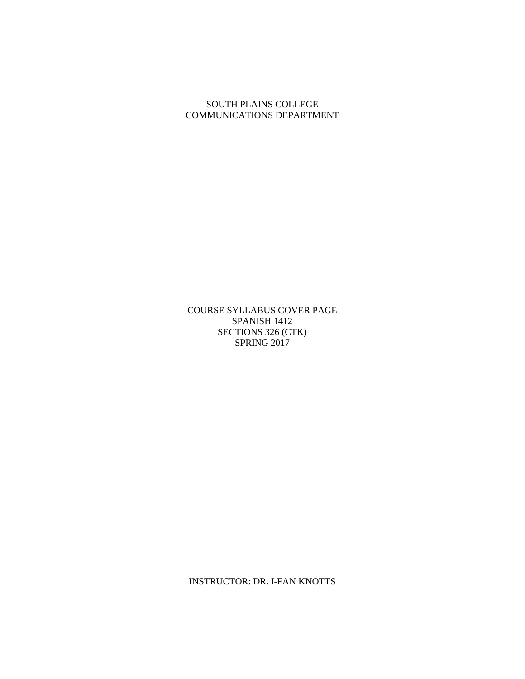### SOUTH PLAINS COLLEGE COMMUNICATIONS DEPARTMENT

COURSE SYLLABUS COVER PAGE SPANISH 1412 SECTIONS 326 (CTK) SPRING 2017

INSTRUCTOR: DR. I-FAN KNOTTS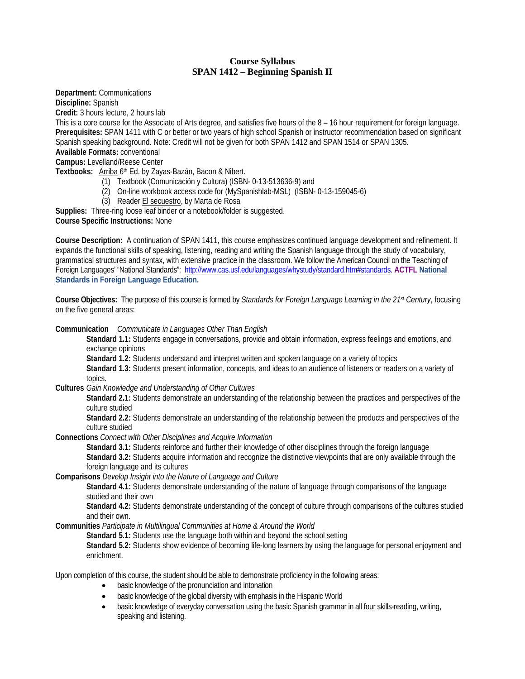#### **Course Syllabus SPAN 1412 – Beginning Spanish II**

**Department:** Communications

**Discipline:** Spanish

**Credit:** 3 hours lecture, 2 hours lab

This is a core course for the Associate of Arts degree, and satisfies five hours of the 8 – 16 hour requirement for foreign language. **Prerequisites:** SPAN 1411 with C or better or two years of high school Spanish or instructor recommendation based on significant Spanish speaking background. Note: Credit will not be given for both SPAN 1412 and SPAN 1514 or SPAN 1305.

# **Available Formats:** conventional

**Campus:** Levelland/Reese Center

**Textbooks:** Arriba 6th Ed. by Zayas-Bazán, Bacon & Nibert.

- (1) Textbook (Comunicación y Cultura) (ISBN- 0-13-513636-9) and
- (2) On-line workbook access code for (MySpanishlab-MSL) (ISBN- 0-13-159045-6)
- (3) Reader El secuestro, by Marta de Rosa

**Supplies:** Three-ring loose leaf binder or a notebook/folder is suggested.

**Course Specific Instructions:** None

**Course Description:** A continuation of SPAN 1411, this course emphasizes continued language development and refinement. It expands the functional skills of speaking, listening, reading and writing the Spanish language through the study of vocabulary, grammatical structures and syntax, with extensive practice in the classroom. We follow the American Council on the Teaching of Foreign Languages' "National Standards": [http://www.cas.usf.edu/languages/whystudy/standard.htm#standards.](http://www.cas.usf.edu/languages/whystudy/standard.htm#standards) **ACTFL [National](http://www.cas.usf.edu/languages/whystudy/standard.htm#standards)  [Standards](http://www.cas.usf.edu/languages/whystudy/standard.htm#standards) in Foreign Language Education.**

**Course Objectives:** The purpose of this course is formed by *Standards for Foreign Language Learning in the 21st Century*, focusing on the five general areas:

**Communication** *Communicate in Languages Other Than English*

**Standard 1.1:** Students engage in conversations, provide and obtain information, express feelings and emotions, and exchange opinions

**Standard 1.2:** Students understand and interpret written and spoken language on a variety of topics

**Standard 1.3:** Students present information, concepts, and ideas to an audience of listeners or readers on a variety of topics.

**Cultures** *Gain Knowledge and Understanding of Other Cultures*

**Standard 2.1:** Students demonstrate an understanding of the relationship between the practices and perspectives of the culture studied

**Standard 2.2:** Students demonstrate an understanding of the relationship between the products and perspectives of the culture studied

**Connections** *Connect with Other Disciplines and Acquire Information*

**Standard 3.1:** Students reinforce and further their knowledge of other disciplines through the foreign language **Standard 3.2:** Students acquire information and recognize the distinctive viewpoints that are only available through the foreign language and its cultures

**Comparisons** *Develop Insight into the Nature of Language and Culture*

**Standard 4.1:** Students demonstrate understanding of the nature of language through comparisons of the language studied and their own

**Standard 4.2:** Students demonstrate understanding of the concept of culture through comparisons of the cultures studied and their own.

**Communities** *Participate in Multilingual Communities at Home & Around the World*

**Standard 5.1:** Students use the language both within and beyond the school setting

**Standard 5.2:** Students show evidence of becoming life-long learners by using the language for personal enjoyment and enrichment.

Upon completion of this course, the student should be able to demonstrate proficiency in the following areas:

- basic knowledge of the pronunciation and intonation
- basic knowledge of the global diversity with emphasis in the Hispanic World
- basic knowledge of everyday conversation using the basic Spanish grammar in all four skills-reading, writing, speaking and listening.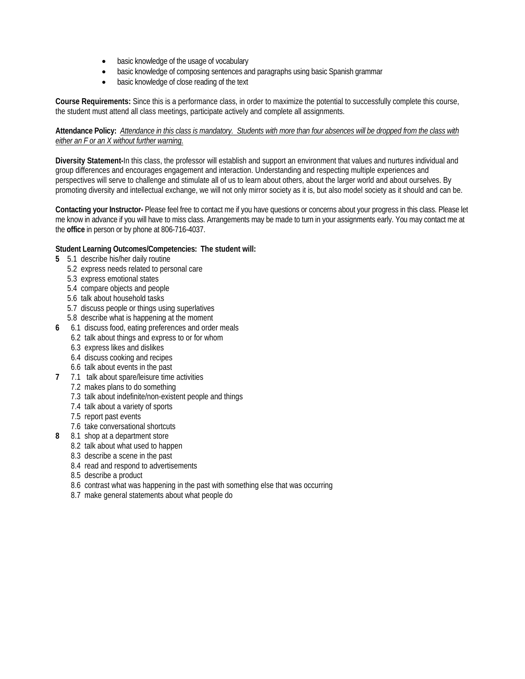- basic knowledge of the usage of vocabulary
- basic knowledge of composing sentences and paragraphs using basic Spanish grammar
- basic knowledge of close reading of the text

**Course Requirements:** Since this is a performance class, in order to maximize the potential to successfully complete this course, the student must attend all class meetings, participate actively and complete all assignments.

#### **Attendance Policy:** *Attendance in this class is mandatory. Students with more than four absences will be dropped from the class with either an F or an X without further warning*.

**Diversity Statement-**In this class, the professor will establish and support an environment that values and nurtures individual and group differences and encourages engagement and interaction. Understanding and respecting multiple experiences and perspectives will serve to challenge and stimulate all of us to learn about others, about the larger world and about ourselves. By promoting diversity and intellectual exchange, we will not only mirror society as it is, but also model society as it should and can be.

**Contacting your Instructor-** Please feel free to contact me if you have questions or concerns about your progress in this class. Please let me know in advance if you will have to miss class. Arrangements may be made to turn in your assignments early. You may contact me at the **office** in person or by phone at 806-716-4037.

#### **Student Learning Outcomes/Competencies: The student will:**

- **5** 5.1 describe his/her daily routine
	- 5.2 express needs related to personal care
	- 5.3 express emotional states
	- 5.4 compare objects and people
	- 5.6 talk about household tasks
	- 5.7 discuss people or things using superlatives
	- 5.8 describe what is happening at the moment
- **6** 6.1 discuss food, eating preferences and order meals
	- 6.2 talk about things and express to or for whom
	- 6.3 express likes and dislikes
	- 6.4 discuss cooking and recipes
	- 6.6 talk about events in the past
- **7** 7.1 talk about spare/leisure time activities
	- 7.2 makes plans to do something
	- 7.3 talk about indefinite/non-existent people and things
	- 7.4 talk about a variety of sports
	- 7.5 report past events
	- 7.6 take conversational shortcuts
- **8** 8.1 shop at a department store
	- 8.2 talk about what used to happen
	- 8.3 describe a scene in the past
	- 8.4 read and respond to advertisements
	- 8.5 describe a product
	- 8.6 contrast what was happening in the past with something else that was occurring
	- 8.7 make general statements about what people do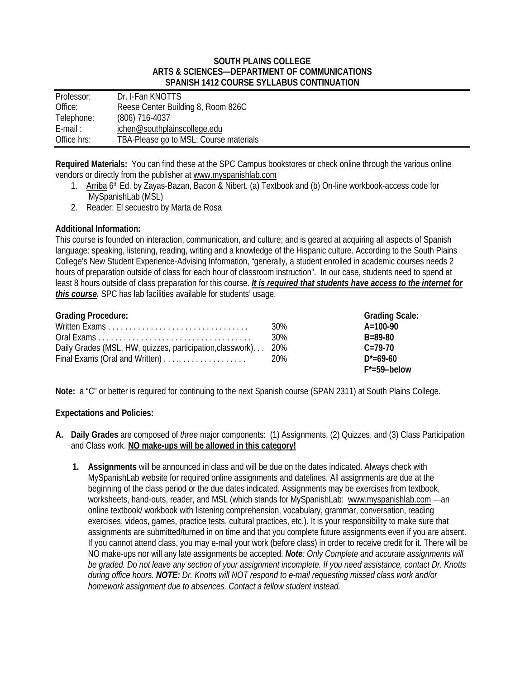#### **SOUTH PLAINS COLLEGE ARTS & SCIENCES—DEPARTMENT OF COMMUNICATIONS SPANISH 1412 COURSE SYLLABUS CONTINUATION**

| Professor:  | Dr. I-Fan KNOTTS                       |
|-------------|----------------------------------------|
| Office:     | Reese Center Building 8, Room 826C     |
| Telephone:  | $(806)$ 716-4037                       |
| $E$ -mail:  | ichen@southplainscollege.edu           |
| Office hrs: | TBA-Please go to MSL: Course materials |

**Required Materials:** You can find these at the SPC Campus bookstores or check online through the various online vendors or directly from the publisher at [www.myspanishlab.com](http://www.myspanishlab.com/)

- 1. Arriba 6th Ed. by Zayas-Bazan, Bacon & Nibert. (a) Textbook and (b) On-line workbook-access code for MySpanishLab (MSL)
- 2. Reader: El secuestro by Marta de Rosa

#### **Additional Information:**

This course is founded on interaction, communication, and culture; and is geared at acquiring all aspects of Spanish language: speaking, listening, reading, writing and a knowledge of the Hispanic culture. According to the South Plains College's New Student Experience-Advising Information, "generally, a student enrolled in academic courses needs 2 hours of preparation outside of class for each hour of classroom instruction". In our case, students need to spend at least 8 hours outside of class preparation for this course. *It is required that students have access to the internet for this course.* SPC has lab facilities available for students' usage.

| <b>Grading Procedure:</b>                                     |                 | <b>Grading Scale:</b>     |
|---------------------------------------------------------------|-----------------|---------------------------|
| Written Exams                                                 | 30 <sup>%</sup> | $A = 100-90$              |
|                                                               | 30%             | $B = 89 - 80$             |
| Daily Grades (MSL, HW, quizzes, participation, classwork) 20% |                 | $C = 79-70$               |
| Final Exams (Oral and Written)                                | 20%             | $D^* = 69 - 60$           |
|                                                               |                 | $F^* = 59 - \text{below}$ |

**Note:** a "C" or better is required for continuing to the next Spanish course (SPAN 2311) at South Plains College.

### **Expectations and Policies:**

- **A. Daily Grades** are composed of *three* major components: (1) Assignments, (2) Quizzes, and (3) Class Participation and Class work. **NO make-ups will be allowed in this category!**
	- **1. Assignments** will be announced in class and will be due on the dates indicated. Always check with MySpanishLab website for required online assignments and datelines. All assignments are due at the beginning of the class period or the due dates indicated. Assignments may be exercises from textbook, worksheets, hand-outs, reader, and MSL (which stands for MySpanishLab: [www.myspanishlab.com](http://www.myspanishlab.com/) —an online textbook/ workbook with listening comprehension, vocabulary, grammar, conversation, reading exercises, videos, games, practice tests, cultural practices, etc.). It is your responsibility to make sure that assignments are submitted/turned in on time and that you complete future assignments even if you are absent. If you cannot attend class, you may e-mail your work (before class) in order to receive credit for it. There will be NO make-ups nor will any late assignments be accepted. *Note: Only Complete and accurate assignments will be graded. Do not leave any section of your assignment incomplete. If you need assistance, contact Dr. Knotts during office hours. NOTE: Dr. Knotts will NOT respond to e-mail requesting missed class work and/or homework assignment due to absences. Contact a fellow student instead.*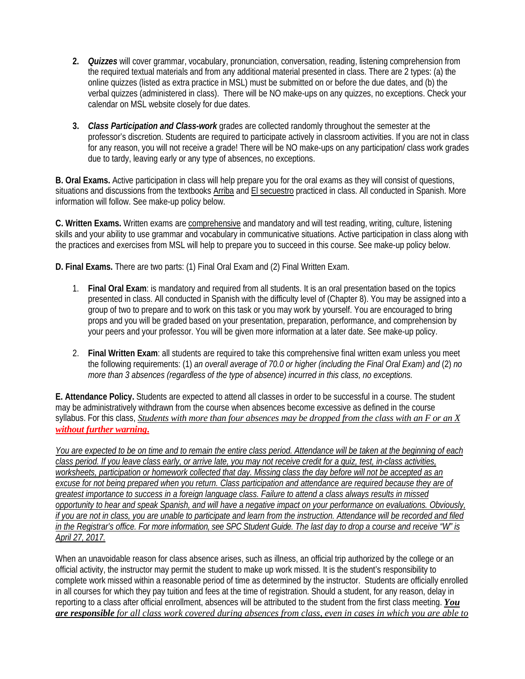- **2.** *Quizzes* will cover grammar, vocabulary, pronunciation, conversation, reading, listening comprehension from the required textual materials and from any additional material presented in class. There are 2 types: (a) the online quizzes (listed as extra practice in MSL) must be submitted on or before the due dates, and (b) the verbal quizzes (administered in class). There will be NO make-ups on any quizzes, no exceptions. Check your calendar on MSL website closely for due dates.
- **3.** *Class Participation and Class-work* grades are collected randomly throughout the semester at the professor's discretion. Students are required to participate actively in classroom activities. If you are not in class for any reason, you will not receive a grade! There will be NO make-ups on any participation/ class work grades due to tardy, leaving early or any type of absences, no exceptions.

**B. Oral Exams.** Active participation in class will help prepare you for the oral exams as they will consist of questions, situations and discussions from the textbooks Arriba and El secuestro practiced in class. All conducted in Spanish. More information will follow. See make-up policy below.

**C. Written Exams.** Written exams are comprehensive and mandatory and will test reading, writing, culture, listening skills and your ability to use grammar and vocabulary in communicative situations. Active participation in class along with the practices and exercises from MSL will help to prepare you to succeed in this course. See make-up policy below.

**D. Final Exams.** There are two parts: (1) Final Oral Exam and (2) Final Written Exam.

- 1. **Final Oral Exam**: is mandatory and required from all students. It is an oral presentation based on the topics presented in class. All conducted in Spanish with the difficulty level of (Chapter 8). You may be assigned into a group of two to prepare and to work on this task or you may work by yourself. You are encouraged to bring props and you will be graded based on your presentation, preparation, performance, and comprehension by your peers and your professor. You will be given more information at a later date. See make-up policy.
- 2. **Final Written Exam**: all students are required to take this comprehensive final written exam unless you meet the following requirements: (1) *an overall average of 70.0 or higher (including the Final Oral Exam) and* (2) *no more than 3 absences (regardless of the type of absence) incurred in this class, no exceptions.*

**E. Attendance Policy.** Students are expected to attend all classes in order to be successful in a course. The student may be administratively withdrawn from the course when absences become excessive as defined in the course syllabus. For this class, *Students with more than four absences may be dropped from the class with an F or an X without further warning***.**

*You are expected to be on time and to remain the entire class period. Attendance will be taken at the beginning of each class period. If you leave class early, or arrive late, you may not receive credit for a quiz, test, in-class activities, worksheets, participation or homework collected that day. Missing class the day before will not be accepted as an excuse for not being prepared when you return. Class participation and attendance are required because they are of greatest importance to success in a foreign language class. Failure to attend a class always results in missed opportunity to hear and speak Spanish, and will have a negative impact on your performance on evaluations. Obviously, if you are not in class, you are unable to participate and learn from the instruction. Attendance will be recorded and filed in the Registrar's office. For more information, see SPC Student Guide. The last day to drop a course and receive "W" is April 27, 2017.*

When an unavoidable reason for class absence arises, such as illness, an official trip authorized by the college or an official activity, the instructor may permit the student to make up work missed. It is the student's responsibility to complete work missed within a reasonable period of time as determined by the instructor. Students are officially enrolled in all courses for which they pay tuition and fees at the time of registration. Should a student, for any reason, delay in reporting to a class after official enrollment, absences will be attributed to the student from the first class meeting. *You are responsible for all class work covered during absences from class, even in cases in which you are able to*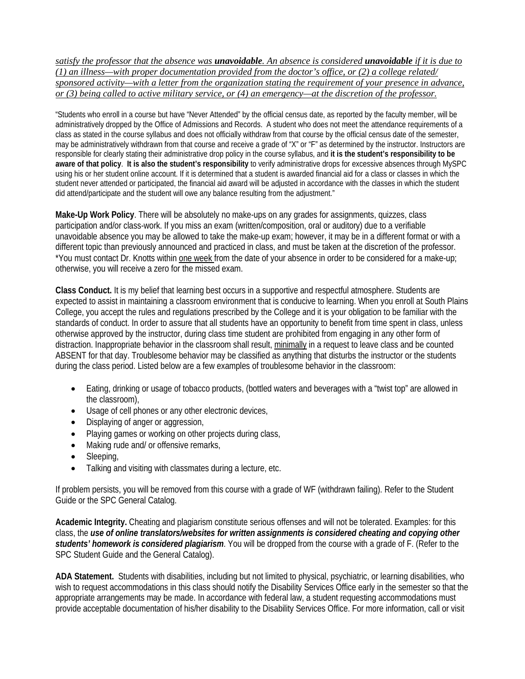*satisfy the professor that the absence was unavoidable. An absence is considered unavoidable if it is due to (1) an illness—with proper documentation provided from the doctor's office, or (2) a college related/ sponsored activity—with a letter from the organization stating the requirement of your presence in advance, or (3) being called to active military service, or (4) an emergency—at the discretion of the professor.*

"Students who enroll in a course but have "Never Attended" by the official census date, as reported by the faculty member, will be administratively dropped by the Office of Admissions and Records. A student who does not meet the attendance requirements of a class as stated in the course syllabus and does not officially withdraw from that course by the official census date of the semester, may be administratively withdrawn from that course and receive a grade of "X" or "F" as determined by the instructor. Instructors are responsible for clearly stating their administrative drop policy in the course syllabus, and **it is the student's responsibility to be aware of that policy**. **It is also the student's responsibility** to verify administrative drops for excessive absences through MySPC using his or her student online account. If it is determined that a student is awarded financial aid for a class or classes in which the student never attended or participated, the financial aid award will be adjusted in accordance with the classes in which the student did attend/participate and the student will owe any balance resulting from the adjustment."

**Make-Up Work Policy**. There will be absolutely no make-ups on any grades for assignments, quizzes, class participation and/or class-work. If you miss an exam (written/composition, oral or auditory) due to a verifiable unavoidable absence you may be allowed to take the make-up exam; however, it may be in a different format or with a different topic than previously announced and practiced in class, and must be taken at the discretion of the professor. \*You must contact Dr. Knotts within one week from the date of your absence in order to be considered for a make-up; otherwise, you will receive a zero for the missed exam.

**Class Conduct.** It is my belief that learning best occurs in a supportive and respectful atmosphere. Students are expected to assist in maintaining a classroom environment that is conducive to learning. When you enroll at South Plains College, you accept the rules and regulations prescribed by the College and it is your obligation to be familiar with the standards of conduct. In order to assure that all students have an opportunity to benefit from time spent in class, unless otherwise approved by the instructor, during class time student are prohibited from engaging in any other form of distraction. Inappropriate behavior in the classroom shall result, minimally in a request to leave class and be counted ABSENT for that day. Troublesome behavior may be classified as anything that disturbs the instructor or the students during the class period. Listed below are a few examples of troublesome behavior in the classroom:

- Eating, drinking or usage of tobacco products, (bottled waters and beverages with a "twist top" are allowed in the classroom),
- Usage of cell phones or any other electronic devices,
- Displaying of anger or aggression,
- Playing games or working on other projects during class,
- Making rude and/ or offensive remarks,
- Sleeping,
- Talking and visiting with classmates during a lecture, etc.

If problem persists, you will be removed from this course with a grade of WF (withdrawn failing). Refer to the Student Guide or the SPC General Catalog.

**Academic Integrity.** Cheating and plagiarism constitute serious offenses and will not be tolerated. Examples: for this class, the *use of online translators/websites for written assignments is considered cheating and copying other students' homework is considered plagiarism*. You will be dropped from the course with a grade of F. (Refer to the SPC Student Guide and the General Catalog).

**ADA Statement.** Students with disabilities, including but not limited to physical, psychiatric, or learning disabilities, who wish to request accommodations in this class should notify the Disability Services Office early in the semester so that the appropriate arrangements may be made. In accordance with federal law, a student requesting accommodations must provide acceptable documentation of his/her disability to the Disability Services Office. For more information, call or visit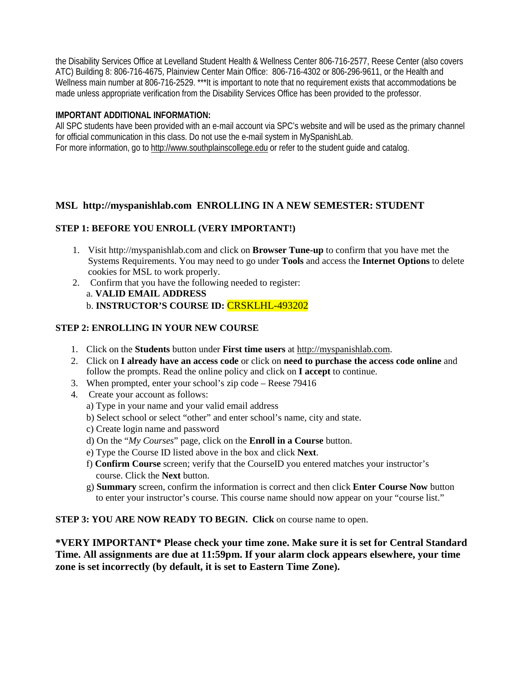the Disability Services Office at Levelland Student Health & Wellness Center 806-716-2577, Reese Center (also covers ATC) Building 8: 806-716-4675, Plainview Center Main Office: 806-716-4302 or 806-296-9611, or the Health and Wellness main number at 806-716-2529. \*\*\*It is important to note that no requirement exists that accommodations be made unless appropriate verification from the Disability Services Office has been provided to the professor.

### **IMPORTANT ADDITIONAL INFORMATION:**

All SPC students have been provided with an e-mail account via SPC's website and will be used as the primary channel for official communication in this class. Do not use the e-mail system in MySpanishLab. For more information, go to [http://www.southplainscollege.edu](http://www.southplainscollege.edu/) or refer to the student guide and catalog.

# **MSL http://myspanishlab.com ENROLLING IN A NEW SEMESTER: STUDENT**

# **STEP 1: BEFORE YOU ENROLL (VERY IMPORTANT!)**

- 1. Visit http://myspanishlab.com and click on **Browser Tune-up** to confirm that you have met the Systems Requirements. You may need to go under **Tools** and access the **Internet Options** to delete cookies for MSL to work properly.
- 2. Confirm that you have the following needed to register: a. **VALID EMAIL ADDRESS**  b. **INSTRUCTOR'S COURSE ID:** CRSKLHL-493202

# **STEP 2: ENROLLING IN YOUR NEW COURSE**

- 1. Click on the **Students** button under **First time users** at [http://myspanishlab.com.](http://myspanishlab.com/)
- 2. Click on **I already have an access code** or click on **need to purchase the access code online** and follow the prompts. Read the online policy and click on **I accept** to continue.
- 3. When prompted, enter your school's zip code Reese 79416
- 4. Create your account as follows:
	- a) Type in your name and your valid email address
	- b) Select school or select "other" and enter school's name, city and state.
	- c) Create login name and password
	- d) On the "*My Courses*" page, click on the **Enroll in a Course** button.
	- e) Type the Course ID listed above in the box and click **Next**.
	- f) **Confirm Course** screen; verify that the CourseID you entered matches your instructor's course. Click the **Next** button.
	- g) **Summary** screen, confirm the information is correct and then click **Enter Course Now** button to enter your instructor's course. This course name should now appear on your "course list."

### **STEP 3: YOU ARE NOW READY TO BEGIN. Click on course name to open.**

**\*VERY IMPORTANT\* Please check your time zone. Make sure it is set for Central Standard Time. All assignments are due at 11:59pm. If your alarm clock appears elsewhere, your time zone is set incorrectly (by default, it is set to Eastern Time Zone).**